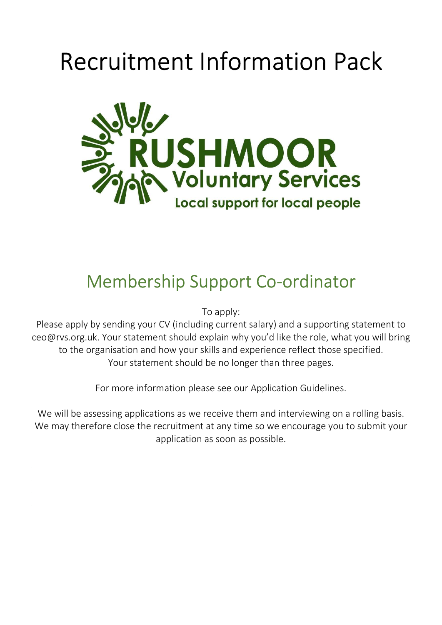# Recruitment Information Pack



# Membership Support Co-ordinator

To apply:

Please apply by sending your CV (including current salary) and a supporting statement to ceo@rvs.org.uk. Your statement should explain why you'd like the role, what you will bring to the organisation and how your skills and experience reflect those specified. Your statement should be no longer than three pages.

For more information please see our Application Guidelines.

We will be assessing applications as we receive them and interviewing on a rolling basis. We may therefore close the recruitment at any time so we encourage you to submit your application as soon as possible.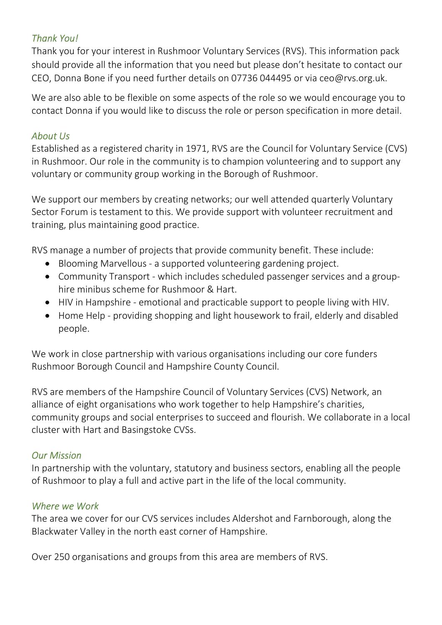#### Thank You!

Thank you for your interest in Rushmoor Voluntary Services (RVS). This information pack should provide all the information that you need but please don't hesitate to contact our CEO, Donna Bone if you need further details on 07736 044495 or via ceo@rvs.org.uk.

We are also able to be flexible on some aspects of the role so we would encourage you to contact Donna if you would like to discuss the role or person specification in more detail.

#### About Us

Established as a registered charity in 1971, RVS are the Council for Voluntary Service (CVS) in Rushmoor. Our role in the community is to champion volunteering and to support any voluntary or community group working in the Borough of Rushmoor.

We support our members by creating networks; our well attended quarterly Voluntary Sector Forum is testament to this. We provide support with volunteer recruitment and training, plus maintaining good practice.

RVS manage a number of projects that provide community benefit. These include:

- Blooming Marvellous a supported volunteering gardening project.
- Community Transport which includes scheduled passenger services and a grouphire minibus scheme for Rushmoor & Hart.
- HIV in Hampshire emotional and practicable support to people living with HIV.
- Home Help providing shopping and light housework to frail, elderly and disabled people.

We work in close partnership with various organisations including our core funders Rushmoor Borough Council and Hampshire County Council.

RVS are members of the Hampshire Council of Voluntary Services (CVS) Network, an alliance of eight organisations who work together to help Hampshire's charities, community groups and social enterprises to succeed and flourish. We collaborate in a local cluster with Hart and Basingstoke CVSs.

#### Our Mission

In partnership with the voluntary, statutory and business sectors, enabling all the people of Rushmoor to play a full and active part in the life of the local community.

#### Where we Work

The area we cover for our CVS services includes Aldershot and Farnborough, along the Blackwater Valley in the north east corner of Hampshire.

Over 250 organisations and groups from this area are members of RVS.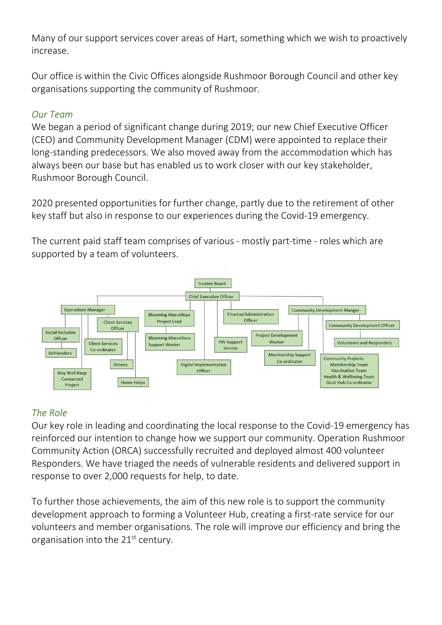Many of our support services cover areas of Hart, something which we wish to proactively increase.

Our office is within the Civic Offices alongside Rushmoor Borough Council and other key organisations supporting the community of Rushmoor.

#### Our Team

We began a period of significant change during 2019; our new Chief Executive Officer (CEO) and Community Development Manager (CDM) were appointed to replace their long-standing predecessors. We also moved away from the accommodation which has always been our base but has enabled us to work closer with our key stakeholder, Rushmoor Borough Council.

2020 presented opportunities for further change, partly due to the retirement of other key staff but also in response to our experiences during the Covid-19 emergency.

The current paid staff team comprises of various - mostly part-time - roles which are supported by a team of volunteers.



# The Role

Our key role in leading and coordinating the local response to the Covid-19 emergency has reinforced our intention to change how we support our community. Operation Rushmoor Community Action (ORCA) successfully recruited and deployed almost 400 volunteer Responders. We have triaged the needs of vulnerable residents and delivered support in response to over 2,000 requests for help, to date.

To further those achievements, the aim of this new role is to support the community development approach to forming a Volunteer Hub, creating a first-rate service for our volunteers and member organisations. The role will improve our efficiency and bring the organisation into the  $21<sup>st</sup>$  century.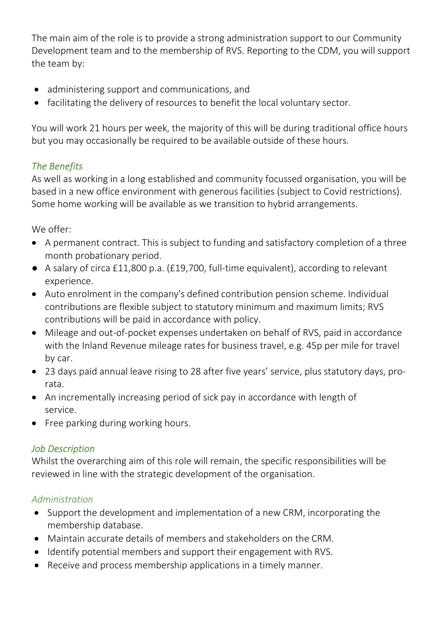The main aim of the role is to provide a strong administration support to our Community Development team and to the membership of RVS. Reporting to the CDM, you will support the team by:

- administering support and communications, and
- facilitating the delivery of resources to benefit the local voluntary sector.

You will work 21 hours per week, the majority of this will be during traditional office hours but you may occasionally be required to be available outside of these hours.

# The Benefits

As well as working in a long established and community focussed organisation, you will be based in a new office environment with generous facilities (subject to Covid restrictions). Some home working will be available as we transition to hybrid arrangements.

We offer:

- A permanent contract. This is subject to funding and satisfactory completion of a three month probationary period.
- A salary of circa £11,800 p.a. (£19,700, full-time equivalent), according to relevant experience.
- Auto enrolment in the company's defined contribution pension scheme. Individual contributions are flexible subject to statutory minimum and maximum limits; RVS contributions will be paid in accordance with policy.
- Mileage and out-of-pocket expenses undertaken on behalf of RVS, paid in accordance with the Inland Revenue mileage rates for business travel, e.g. 45p per mile for travel by car.
- 23 days paid annual leave rising to 28 after five years' service, plus statutory days, prorata.
- An incrementally increasing period of sick pay in accordance with length of service.
- Free parking during working hours.

# Job Description

Whilst the overarching aim of this role will remain, the specific responsibilities will be reviewed in line with the strategic development of the organisation.

#### Administration

- Support the development and implementation of a new CRM, incorporating the membership database.
- Maintain accurate details of members and stakeholders on the CRM.
- Identify potential members and support their engagement with RVS.
- Receive and process membership applications in a timely manner.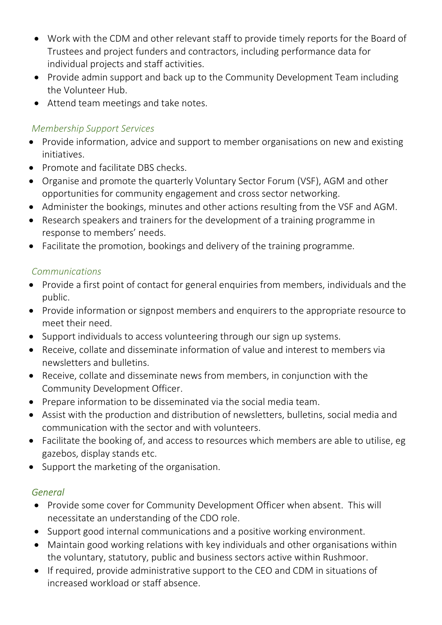- Work with the CDM and other relevant staff to provide timely reports for the Board of Trustees and project funders and contractors, including performance data for individual projects and staff activities.
- Provide admin support and back up to the Community Development Team including the Volunteer Hub.
- Attend team meetings and take notes.

#### Membership Support Services

- Provide information, advice and support to member organisations on new and existing initiatives.
- Promote and facilitate DBS checks.
- Organise and promote the quarterly Voluntary Sector Forum (VSF), AGM and other opportunities for community engagement and cross sector networking.
- Administer the bookings, minutes and other actions resulting from the VSF and AGM.
- Research speakers and trainers for the development of a training programme in response to members' needs.
- Facilitate the promotion, bookings and delivery of the training programme.

# Communications

- Provide a first point of contact for general enquiries from members, individuals and the public.
- Provide information or signpost members and enquirers to the appropriate resource to meet their need.
- Support individuals to access volunteering through our sign up systems.
- Receive, collate and disseminate information of value and interest to members via newsletters and bulletins.
- Receive, collate and disseminate news from members, in conjunction with the Community Development Officer.
- Prepare information to be disseminated via the social media team.
- Assist with the production and distribution of newsletters, bulletins, social media and communication with the sector and with volunteers.
- Facilitate the booking of, and access to resources which members are able to utilise, eg gazebos, display stands etc.
- Support the marketing of the organisation.

#### **General**

- Provide some cover for Community Development Officer when absent. This will necessitate an understanding of the CDO role.
- Support good internal communications and a positive working environment.
- Maintain good working relations with key individuals and other organisations within the voluntary, statutory, public and business sectors active within Rushmoor.
- If required, provide administrative support to the CEO and CDM in situations of increased workload or staff absence.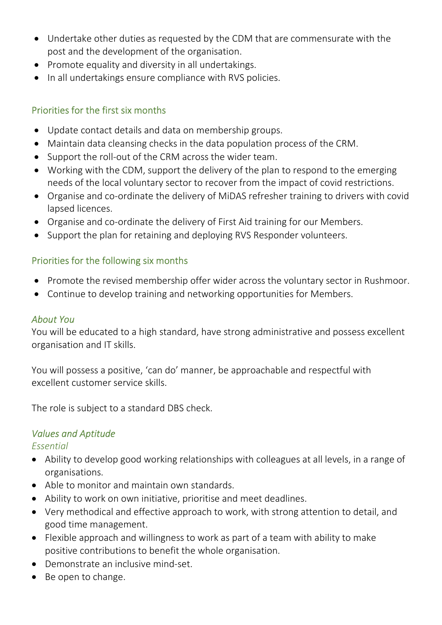- Undertake other duties as requested by the CDM that are commensurate with the post and the development of the organisation.
- Promote equality and diversity in all undertakings.
- In all undertakings ensure compliance with RVS policies.

#### Priorities for the first six months

- Update contact details and data on membership groups.
- Maintain data cleansing checks in the data population process of the CRM.
- Support the roll-out of the CRM across the wider team.
- Working with the CDM, support the delivery of the plan to respond to the emerging needs of the local voluntary sector to recover from the impact of covid restrictions.
- Organise and co-ordinate the delivery of MiDAS refresher training to drivers with covid lapsed licences.
- Organise and co-ordinate the delivery of First Aid training for our Members.
- Support the plan for retaining and deploying RVS Responder volunteers.

#### Priorities for the following six months

- Promote the revised membership offer wider across the voluntary sector in Rushmoor.
- Continue to develop training and networking opportunities for Members.

#### About You

You will be educated to a high standard, have strong administrative and possess excellent organisation and IT skills.

You will possess a positive, 'can do' manner, be approachable and respectful with excellent customer service skills.

The role is subject to a standard DBS check.

# Values and Aptitude

#### Essential

- Ability to develop good working relationships with colleagues at all levels, in a range of organisations.
- Able to monitor and maintain own standards.
- Ability to work on own initiative, prioritise and meet deadlines.
- Very methodical and effective approach to work, with strong attention to detail, and good time management.
- Flexible approach and willingness to work as part of a team with ability to make positive contributions to benefit the whole organisation.
- Demonstrate an inclusive mind-set.
- Be open to change.